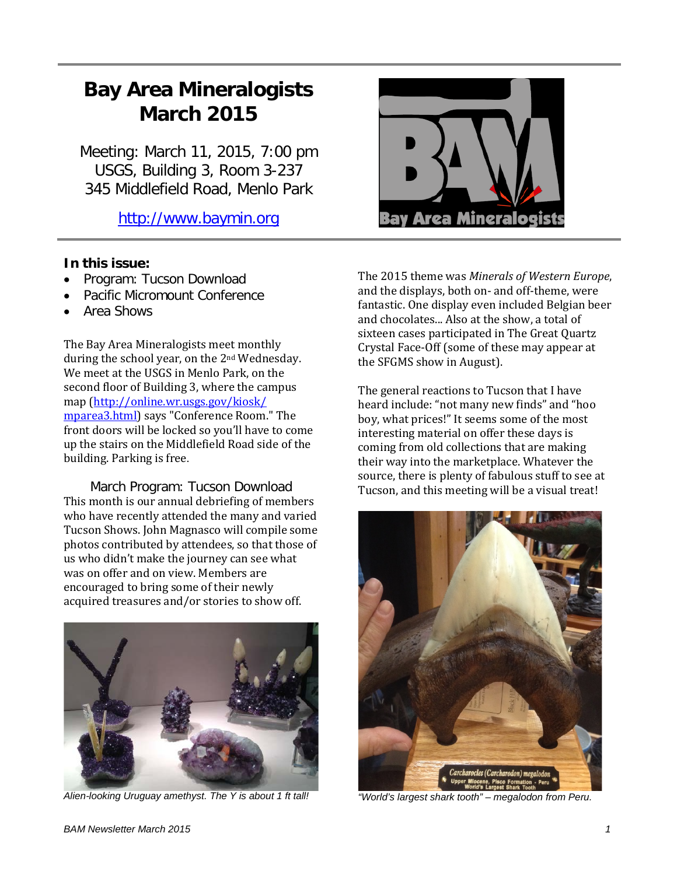# **Bay Area Mineralogists March 2015**

Meeting: March 11, 2015, 7:00 pm USGS, Building 3, Room 3-237 345 Middlefield Road, Menlo Park

[http://www.baymin.org](http://www.baymin.org/)

# **In this issue:**

- Program: Tucson Download
- Pacific Micromount Conference
- Area Shows

The Bay Area Mineralogists meet monthly during the school year, on the 2nd Wednesday. We meet at the USGS in Menlo Park, on the second floor of Building 3, where the campus map [\(http://online.wr.usgs.gov/kiosk/](http://online.wr.usgs.gov/kiosk/%20mparea3.html)  [mparea3.html\)](http://online.wr.usgs.gov/kiosk/%20mparea3.html) says "Conference Room." The front doors will be locked so you'll have to come up the stairs on the Middlefield Road side of the building. Parking is free.

March Program: Tucson Download This month is our annual debriefing of members who have recently attended the many and varied Tucson Shows. John Magnasco will compile some photos contributed by attendees, so that those of us who didn't make the journey can see what was on offer and on view. Members are encouraged to bring some of their newly acquired treasures and/or stories to show off.



*Alien-looking Uruguay amethyst. The Y is about 1 ft tall!*



The 2015 theme was *Minerals of Western Europe*, and the displays, both on- and off-theme, were fantastic. One display even included Belgian beer and chocolates... Also at the show, a total of sixteen cases participated in The Great Quartz Crystal Face-Off (some of these may appear at the SFGMS show in August).

The general reactions to Tucson that I have heard include: "not many new finds" and "hoo boy, what prices!" It seems some of the most interesting material on offer these days is coming from old collections that are making their way into the marketplace. Whatever the source, there is plenty of fabulous stuff to see at Tucson, and this meeting will be a visual treat!



*"World's largest shark tooth" – megalodon from Peru.*